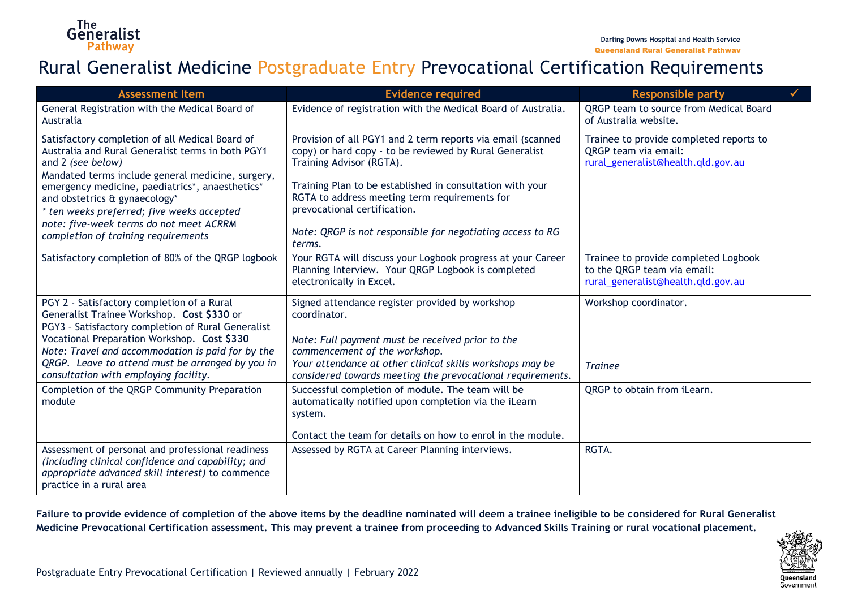Queensland Rural Generalist Pathway

## Rural Generalist Medicine Postgraduate Entry Prevocational Certification Requirements

| <b>Assessment Item</b>                                                                                                                                                                                                                                                                                                                                                                             | <b>Evidence required</b>                                                                                                                                                                                                                                                                                                                                                 | <b>Responsible party</b>                                                                                     |  |
|----------------------------------------------------------------------------------------------------------------------------------------------------------------------------------------------------------------------------------------------------------------------------------------------------------------------------------------------------------------------------------------------------|--------------------------------------------------------------------------------------------------------------------------------------------------------------------------------------------------------------------------------------------------------------------------------------------------------------------------------------------------------------------------|--------------------------------------------------------------------------------------------------------------|--|
| General Registration with the Medical Board of<br>Australia                                                                                                                                                                                                                                                                                                                                        | Evidence of registration with the Medical Board of Australia.                                                                                                                                                                                                                                                                                                            | QRGP team to source from Medical Board<br>of Australia website.                                              |  |
| Satisfactory completion of all Medical Board of<br>Australia and Rural Generalist terms in both PGY1<br>and 2 (see below)<br>Mandated terms include general medicine, surgery,<br>emergency medicine, paediatrics*, anaesthetics*<br>and obstetrics & gynaecology*<br>* ten weeks preferred; five weeks accepted<br>note: five-week terms do not meet ACRRM<br>completion of training requirements | Provision of all PGY1 and 2 term reports via email (scanned<br>copy) or hard copy - to be reviewed by Rural Generalist<br>Training Advisor (RGTA).<br>Training Plan to be established in consultation with your<br>RGTA to address meeting term requirements for<br>prevocational certification.<br>Note: QRGP is not responsible for negotiating access to RG<br>terms. | Trainee to provide completed reports to<br><b>QRGP</b> team via email:<br>rural_generalist@health.qld.gov.au |  |
| Satisfactory completion of 80% of the QRGP logbook                                                                                                                                                                                                                                                                                                                                                 | Your RGTA will discuss your Logbook progress at your Career<br>Planning Interview. Your QRGP Logbook is completed<br>electronically in Excel.                                                                                                                                                                                                                            | Trainee to provide completed Logbook<br>to the QRGP team via email:<br>rural_generalist@health.qld.gov.au    |  |
| PGY 2 - Satisfactory completion of a Rural<br>Generalist Trainee Workshop. Cost \$330 or<br>PGY3 - Satisfactory completion of Rural Generalist<br>Vocational Preparation Workshop. Cost \$330<br>Note: Travel and accommodation is paid for by the<br>QRGP. Leave to attend must be arranged by you in<br>consultation with employing facility.                                                    | Signed attendance register provided by workshop<br>coordinator.<br>Note: Full payment must be received prior to the<br>commencement of the workshop.<br>Your attendance at other clinical skills workshops may be<br>considered towards meeting the prevocational requirements.                                                                                          | Workshop coordinator.<br><b>Trainee</b>                                                                      |  |
| Completion of the QRGP Community Preparation<br>module                                                                                                                                                                                                                                                                                                                                             | Successful completion of module. The team will be<br>automatically notified upon completion via the iLearn<br>system.<br>Contact the team for details on how to enrol in the module.                                                                                                                                                                                     | QRGP to obtain from iLearn.                                                                                  |  |
| Assessment of personal and professional readiness<br>(including clinical confidence and capability; and<br>appropriate advanced skill interest) to commence<br>practice in a rural area                                                                                                                                                                                                            | Assessed by RGTA at Career Planning interviews.                                                                                                                                                                                                                                                                                                                          | RGTA.                                                                                                        |  |

**Failure to provide evidence of completion of the above items by the deadline nominated will deem a trainee ineligible to be considered for Rural Generalist Medicine Prevocational Certification assessment. This may prevent a trainee from proceeding to Advanced Skills Training or rural vocational placement.**